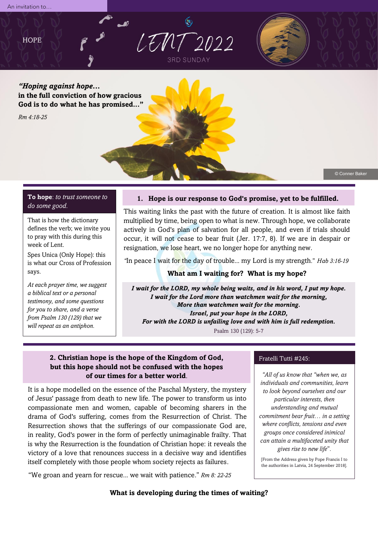



*"Hoping against hope***... in the full conviction of how gracious God is to do what he has promised..."**

*Rm 4:18-25*

© Conner Baker

# **To hope**: *to trust someone to do some good.*

That is how the dictionary defines the verb; we invite you to pray with this during this week of Lent.

Spes Unica (Only Hope): this is what our Cross of Profession says.

*At each prayer time, we suggest a biblical text or a personal testimony, and some questions for you to share, and a verse from Psalm 130 (129) that we will repeat as an antiphon.*

# **1. Hope is our response to God's promise, yet to be fulfilled.**

This waiting links the past with the future of creation. It is almost like faith multiplied by time, being open to what is new. Through hope, we collaborate actively in God's plan of salvation for all people, and even if trials should occur, it will not cease to bear fruit (Jer. 17:7, 8). If we are in despair or resignation, we lose heart, we no longer hope for anything new.

*"*In peace I wait for the day of trouble... my Lord is my strength." *Hab 3:16-19*

# **What am I waiting for? What is my hope?**

*I wait for the LORD, my whole being waits, and in his word, I put my hope. I wait for the Lord more than watchmen wait for the morning, More than watchmen wait for the morning. Israel, put your hope in the LORD, For with the LORD is unfailing love and with him is full redemption.*

Psalm 130 (129): 5-7

# **2. Christian hope is the hope of the Kingdom of God, but this hope should not be confused with the hopes of our times for a better world**.

It is a hope modelled on the essence of the Paschal Mystery, the mystery of Jesus' passage from death to new life. The power to transform us into compassionate men and women, capable of becoming sharers in the drama of God's suffering, comes from the Resurrection of Christ. The Resurrection shows that the sufferings of our compassionate God are, in reality, God's power in the form of perfectly unimaginable frailty. That is why the Resurrection is the foundation of Christian hope: it reveals the victory of a love that renounces success in a decisive way and identifies itself completely with those people whom society rejects as failures.

"We groan and yearn for rescue... we wait with patience." *Rm 8: 22-25*

#### Fratelli Tutti #245:

*"All of us know that "when we, as individuals and communities, learn to look beyond ourselves and our particular interests, then understanding and mutual commitment bear fruit… in a setting where conflicts, tensions and even groups once considered inimical can attain a multifaceted unity that gives rise to new life*"*.*

[From the Address given by Pope Francis I to the authorities in Latvia, 24 September 2018].

**What is developing during the times of waiting?**